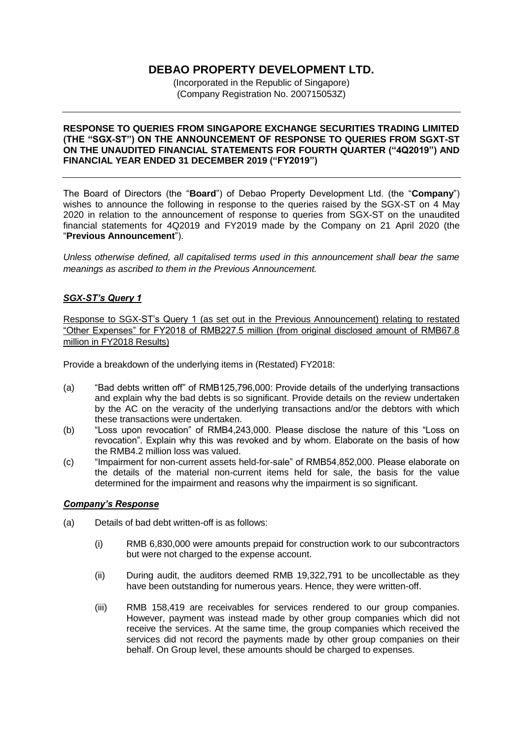# **DEBAO PROPERTY DEVELOPMENT LTD.**

(Incorporated in the Republic of Singapore) (Company Registration No. 200715053Z)

#### **RESPONSE TO QUERIES FROM SINGAPORE EXCHANGE SECURITIES TRADING LIMITED (THE "SGX-ST") ON THE ANNOUNCEMENT OF RESPONSE TO QUERIES FROM SGXT-ST ON THE UNAUDITED FINANCIAL STATEMENTS FOR FOURTH QUARTER ("4Q2019") AND FINANCIAL YEAR ENDED 31 DECEMBER 2019 ("FY2019")**

The Board of Directors (the "**Board**") of Debao Property Development Ltd. (the "**Company**") wishes to announce the following in response to the queries raised by the SGX-ST on 4 May 2020 in relation to the announcement of response to queries from SGX-ST on the unaudited financial statements for 4Q2019 and FY2019 made by the Company on 21 April 2020 (the "**Previous Announcement**").

*Unless otherwise defined, all capitalised terms used in this announcement shall bear the same meanings as ascribed to them in the Previous Announcement.* 

# *SGX-ST's Query 1*

Response to SGX-ST's Query 1 (as set out in the Previous Announcement) relating to restated "Other Expenses" for FY2018 of RMB227.5 million (from original disclosed amount of RMB67.8 million in FY2018 Results)

Provide a breakdown of the underlying items in (Restated) FY2018:

- (a) "Bad debts written off" of RMB125,796,000: Provide details of the underlying transactions and explain why the bad debts is so significant. Provide details on the review undertaken by the AC on the veracity of the underlying transactions and/or the debtors with which these transactions were undertaken.
- (b) "Loss upon revocation" of RMB4,243,000. Please disclose the nature of this "Loss on revocation". Explain why this was revoked and by whom. Elaborate on the basis of how the RMB4.2 million loss was valued.
- (c) "Impairment for non-current assets held-for-sale" of RMB54,852,000. Please elaborate on the details of the material non-current items held for sale, the basis for the value determined for the impairment and reasons why the impairment is so significant.

#### *Company's Response*

- (a) Details of bad debt written-off is as follows:
	- (i) RMB 6,830,000 were amounts prepaid for construction work to our subcontractors but were not charged to the expense account.
	- (ii) During audit, the auditors deemed RMB 19,322,791 to be uncollectable as they have been outstanding for numerous years. Hence, they were written-off.
	- (iii) RMB 158,419 are receivables for services rendered to our group companies. However, payment was instead made by other group companies which did not receive the services. At the same time, the group companies which received the services did not record the payments made by other group companies on their behalf. On Group level, these amounts should be charged to expenses.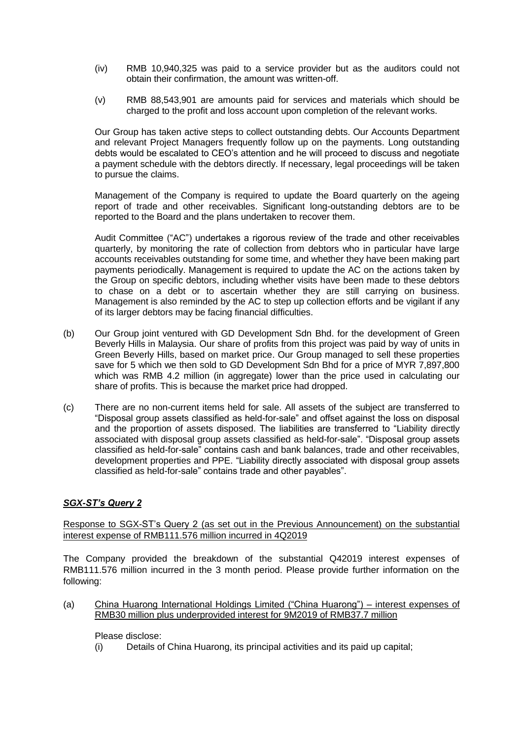- (iv) RMB 10,940,325 was paid to a service provider but as the auditors could not obtain their confirmation, the amount was written-off.
- (v) RMB 88,543,901 are amounts paid for services and materials which should be charged to the profit and loss account upon completion of the relevant works.

Our Group has taken active steps to collect outstanding debts. Our Accounts Department and relevant Project Managers frequently follow up on the payments. Long outstanding debts would be escalated to CEO's attention and he will proceed to discuss and negotiate a payment schedule with the debtors directly. If necessary, legal proceedings will be taken to pursue the claims.

Management of the Company is required to update the Board quarterly on the ageing report of trade and other receivables. Significant long-outstanding debtors are to be reported to the Board and the plans undertaken to recover them.

Audit Committee ("AC") undertakes a rigorous review of the trade and other receivables quarterly, by monitoring the rate of collection from debtors who in particular have large accounts receivables outstanding for some time, and whether they have been making part payments periodically. Management is required to update the AC on the actions taken by the Group on specific debtors, including whether visits have been made to these debtors to chase on a debt or to ascertain whether they are still carrying on business. Management is also reminded by the AC to step up collection efforts and be vigilant if any of its larger debtors may be facing financial difficulties.

- (b) Our Group joint ventured with GD Development Sdn Bhd. for the development of Green Beverly Hills in Malaysia. Our share of profits from this project was paid by way of units in Green Beverly Hills, based on market price. Our Group managed to sell these properties save for 5 which we then sold to GD Development Sdn Bhd for a price of MYR 7,897,800 which was RMB 4.2 million (in aggregate) lower than the price used in calculating our share of profits. This is because the market price had dropped.
- (c) There are no non-current items held for sale. All assets of the subject are transferred to "Disposal group assets classified as held-for-sale" and offset against the loss on disposal and the proportion of assets disposed. The liabilities are transferred to "Liability directly associated with disposal group assets classified as held-for-sale". "Disposal group assets classified as held-for-sale" contains cash and bank balances, trade and other receivables, development properties and PPE. "Liability directly associated with disposal group assets classified as held-for-sale" contains trade and other payables".

# *SGX-ST's Query 2*

Response to SGX-ST's Query 2 (as set out in the Previous Announcement) on the substantial interest expense of RMB111.576 million incurred in 4Q2019

The Company provided the breakdown of the substantial Q42019 interest expenses of RMB111.576 million incurred in the 3 month period. Please provide further information on the following:

(a) China Huarong International Holdings Limited ("China Huarong") – interest expenses of RMB30 million plus underprovided interest for 9M2019 of RMB37.7 million

Please disclose:

(i) Details of China Huarong, its principal activities and its paid up capital;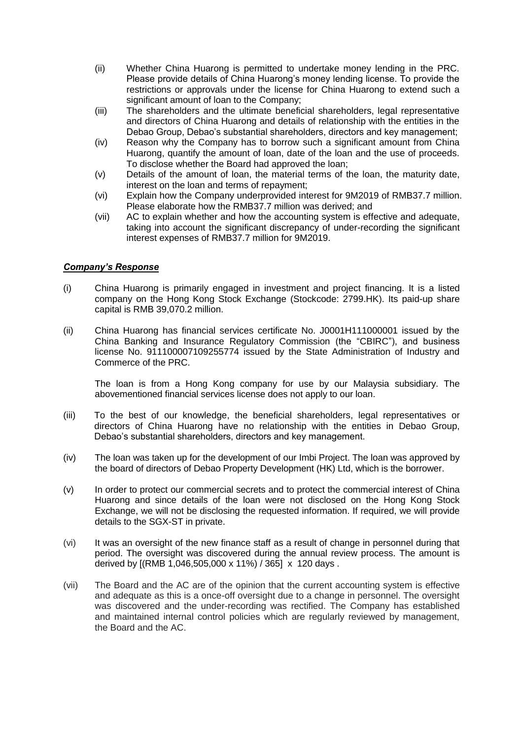- (ii) Whether China Huarong is permitted to undertake money lending in the PRC. Please provide details of China Huarong's money lending license. To provide the restrictions or approvals under the license for China Huarong to extend such a significant amount of loan to the Company;
- (iii) The shareholders and the ultimate beneficial shareholders, legal representative and directors of China Huarong and details of relationship with the entities in the Debao Group, Debao's substantial shareholders, directors and key management;
- (iv) Reason why the Company has to borrow such a significant amount from China Huarong, quantify the amount of loan, date of the loan and the use of proceeds. To disclose whether the Board had approved the loan;
- (v) Details of the amount of loan, the material terms of the loan, the maturity date, interest on the loan and terms of repayment;
- (vi) Explain how the Company underprovided interest for 9M2019 of RMB37.7 million. Please elaborate how the RMB37.7 million was derived; and
- (vii) AC to explain whether and how the accounting system is effective and adequate, taking into account the significant discrepancy of under-recording the significant interest expenses of RMB37.7 million for 9M2019.

#### *Company's Response*

- (i) China Huarong is primarily engaged in investment and project financing. It is a listed company on the Hong Kong Stock Exchange (Stockcode: 2799.HK). Its paid-up share capital is RMB 39,070.2 million.
- (ii) China Huarong has financial services certificate No. J0001H111000001 issued by the China Banking and Insurance Regulatory Commission (the "CBIRC"), and business license No. 911100007109255774 issued by the State Administration of Industry and Commerce of the PRC.

The loan is from a Hong Kong company for use by our Malaysia subsidiary. The abovementioned financial services license does not apply to our loan.

- (iii) To the best of our knowledge, the beneficial shareholders, legal representatives or directors of China Huarong have no relationship with the entities in Debao Group, Debao's substantial shareholders, directors and key management.
- (iv) The loan was taken up for the development of our Imbi Project. The loan was approved by the board of directors of Debao Property Development (HK) Ltd, which is the borrower.
- (v) In order to protect our commercial secrets and to protect the commercial interest of China Huarong and since details of the loan were not disclosed on the Hong Kong Stock Exchange, we will not be disclosing the requested information. If required, we will provide details to the SGX-ST in private.
- (vi) It was an oversight of the new finance staff as a result of change in personnel during that period. The oversight was discovered during the annual review process. The amount is derived by [(RMB 1,046,505,000 x 11%) / 365] x 120 days .
- (vii) The Board and the AC are of the opinion that the current accounting system is effective and adequate as this is a once-off oversight due to a change in personnel. The oversight was discovered and the under-recording was rectified. The Company has established and maintained internal control policies which are regularly reviewed by management, the Board and the AC.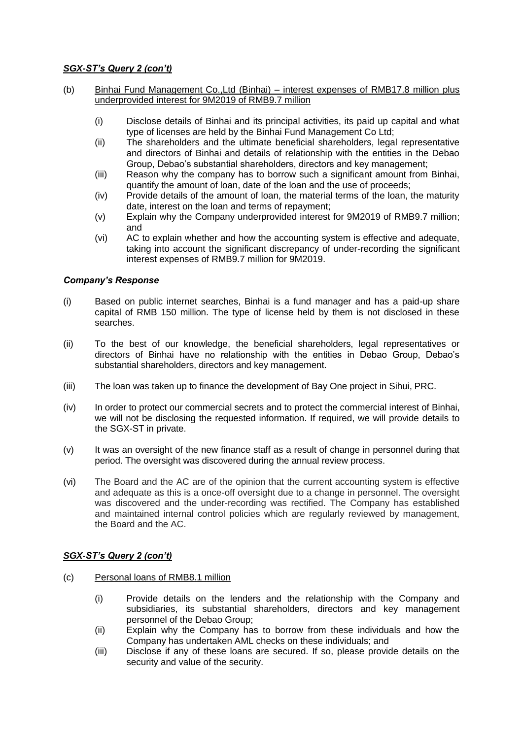# *SGX-ST's Query 2 (con't)*

- (b) Binhai Fund Management Co.,Ltd (Binhai) interest expenses of RMB17.8 million plus underprovided interest for 9M2019 of RMB9.7 million
	- (i) Disclose details of Binhai and its principal activities, its paid up capital and what type of licenses are held by the Binhai Fund Management Co Ltd;
	- (ii) The shareholders and the ultimate beneficial shareholders, legal representative and directors of Binhai and details of relationship with the entities in the Debao Group, Debao's substantial shareholders, directors and key management;
	- (iii) Reason why the company has to borrow such a significant amount from Binhai, quantify the amount of loan, date of the loan and the use of proceeds;
	- (iv) Provide details of the amount of loan, the material terms of the loan, the maturity date, interest on the loan and terms of repayment;
	- (v) Explain why the Company underprovided interest for 9M2019 of RMB9.7 million; and
	- (vi) AC to explain whether and how the accounting system is effective and adequate, taking into account the significant discrepancy of under-recording the significant interest expenses of RMB9.7 million for 9M2019.

#### *Company's Response*

- (i) Based on public internet searches, Binhai is a fund manager and has a paid-up share capital of RMB 150 million. The type of license held by them is not disclosed in these searches.
- (ii) To the best of our knowledge, the beneficial shareholders, legal representatives or directors of Binhai have no relationship with the entities in Debao Group, Debao's substantial shareholders, directors and key management.
- (iii) The loan was taken up to finance the development of Bay One project in Sihui, PRC.
- (iv) In order to protect our commercial secrets and to protect the commercial interest of Binhai, we will not be disclosing the requested information. If required, we will provide details to the SGX-ST in private.
- (v) It was an oversight of the new finance staff as a result of change in personnel during that period. The oversight was discovered during the annual review process.
- (vi) The Board and the AC are of the opinion that the current accounting system is effective and adequate as this is a once-off oversight due to a change in personnel. The oversight was discovered and the under-recording was rectified. The Company has established and maintained internal control policies which are regularly reviewed by management, the Board and the AC.

# *SGX-ST's Query 2 (con't)*

- (c) Personal loans of RMB8.1 million
	- (i) Provide details on the lenders and the relationship with the Company and subsidiaries, its substantial shareholders, directors and key management personnel of the Debao Group;
	- (ii) Explain why the Company has to borrow from these individuals and how the Company has undertaken AML checks on these individuals; and
	- (iii) Disclose if any of these loans are secured. If so, please provide details on the security and value of the security.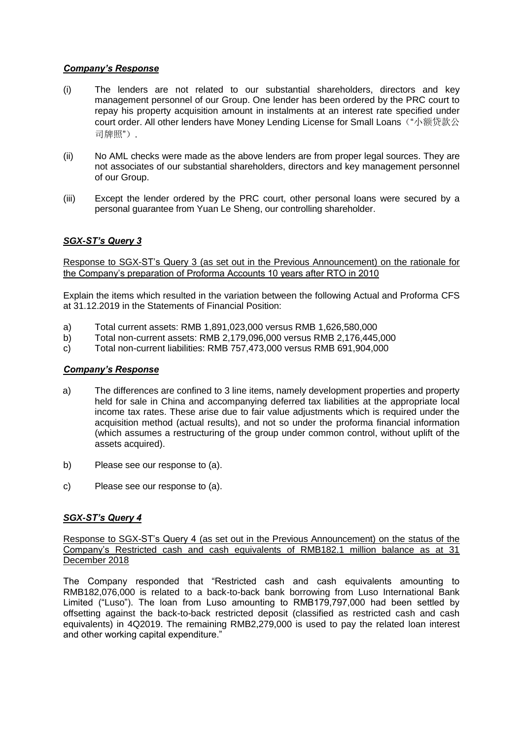#### *Company's Response*

- (i) The lenders are not related to our substantial shareholders, directors and key management personnel of our Group. One lender has been ordered by the PRC court to repay his property acquisition amount in instalments at an interest rate specified under court order. All other lenders have Money Lending License for Small Loans ("小额贷款公 司牌照").
- (ii) No AML checks were made as the above lenders are from proper legal sources. They are not associates of our substantial shareholders, directors and key management personnel of our Group.
- (iii) Except the lender ordered by the PRC court, other personal loans were secured by a personal guarantee from Yuan Le Sheng, our controlling shareholder.

# *SGX-ST's Query 3*

Response to SGX-ST's Query 3 (as set out in the Previous Announcement) on the rationale for the Company's preparation of Proforma Accounts 10 years after RTO in 2010

Explain the items which resulted in the variation between the following Actual and Proforma CFS at 31.12.2019 in the Statements of Financial Position:

- a) Total current assets: RMB 1,891,023,000 versus RMB 1,626,580,000
- b) Total non-current assets: RMB 2,179,096,000 versus RMB 2,176,445,000
- c) Total non-current liabilities: RMB 757,473,000 versus RMB 691,904,000

#### *Company's Response*

- a) The differences are confined to 3 line items, namely development properties and property held for sale in China and accompanying deferred tax liabilities at the appropriate local income tax rates. These arise due to fair value adjustments which is required under the acquisition method (actual results), and not so under the proforma financial information (which assumes a restructuring of the group under common control, without uplift of the assets acquired).
- b) Please see our response to (a).
- c) Please see our response to (a).

#### *SGX-ST's Query 4*

Response to SGX-ST's Query 4 (as set out in the Previous Announcement) on the status of the Company's Restricted cash and cash equivalents of RMB182.1 million balance as at 31 December 2018

The Company responded that "Restricted cash and cash equivalents amounting to RMB182,076,000 is related to a back-to-back bank borrowing from Luso International Bank Limited ("Luso"). The loan from Luso amounting to RMB179,797,000 had been settled by offsetting against the back-to-back restricted deposit (classified as restricted cash and cash equivalents) in 4Q2019. The remaining RMB2,279,000 is used to pay the related loan interest and other working capital expenditure."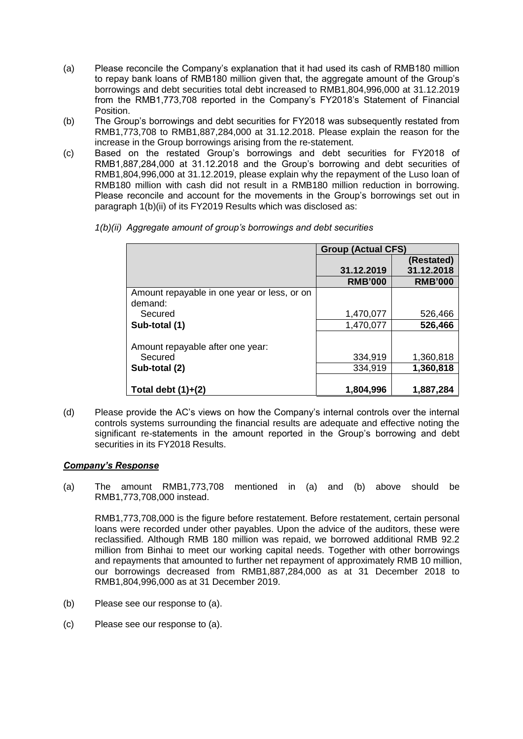- (a) Please reconcile the Company's explanation that it had used its cash of RMB180 million to repay bank loans of RMB180 million given that, the aggregate amount of the Group's borrowings and debt securities total debt increased to RMB1,804,996,000 at 31.12.2019 from the RMB1,773,708 reported in the Company's FY2018's Statement of Financial Position.
- (b) The Group's borrowings and debt securities for FY2018 was subsequently restated from RMB1,773,708 to RMB1,887,284,000 at 31.12.2018. Please explain the reason for the increase in the Group borrowings arising from the re-statement.
- (c) Based on the restated Group's borrowings and debt securities for FY2018 of RMB1,887,284,000 at 31.12.2018 and the Group's borrowing and debt securities of RMB1,804,996,000 at 31.12.2019, please explain why the repayment of the Luso loan of RMB180 million with cash did not result in a RMB180 million reduction in borrowing. Please reconcile and account for the movements in the Group's borrowings set out in paragraph 1(b)(ii) of its FY2019 Results which was disclosed as:

|                                             | <b>Group (Actual CFS)</b> |                |
|---------------------------------------------|---------------------------|----------------|
|                                             |                           | (Restated)     |
|                                             | 31.12.2019                | 31.12.2018     |
|                                             | <b>RMB'000</b>            | <b>RMB'000</b> |
| Amount repayable in one year or less, or on |                           |                |
| demand:                                     |                           |                |
| Secured                                     | 1,470,077                 | 526,466        |
| Sub-total (1)                               | 1,470,077                 | 526,466        |
|                                             |                           |                |
| Amount repayable after one year:            |                           |                |
| Secured                                     | 334,919                   | 1,360,818      |
| Sub-total (2)                               | 334,919                   | 1,360,818      |
|                                             |                           |                |
| Total debt $(1)+(2)$                        | 1,804,996                 | 1,887,284      |

*1(b)(ii) Aggregate amount of group's borrowings and debt securities* 

(d) Please provide the AC's views on how the Company's internal controls over the internal controls systems surrounding the financial results are adequate and effective noting the significant re-statements in the amount reported in the Group's borrowing and debt securities in its FY2018 Results.

# *Company's Response*

(a) The amount RMB1,773,708 mentioned in (a) and (b) above should be RMB1,773,708,000 instead.

RMB1,773,708,000 is the figure before restatement. Before restatement, certain personal loans were recorded under other payables. Upon the advice of the auditors, these were reclassified. Although RMB 180 million was repaid, we borrowed additional RMB 92.2 million from Binhai to meet our working capital needs. Together with other borrowings and repayments that amounted to further net repayment of approximately RMB 10 million, our borrowings decreased from RMB1,887,284,000 as at 31 December 2018 to RMB1,804,996,000 as at 31 December 2019.

- (b) Please see our response to (a).
- (c) Please see our response to (a).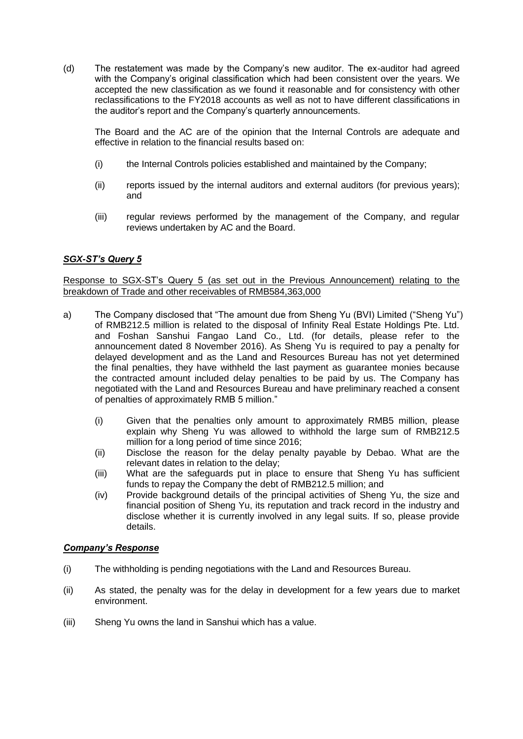(d) The restatement was made by the Company's new auditor. The ex-auditor had agreed with the Company's original classification which had been consistent over the years. We accepted the new classification as we found it reasonable and for consistency with other reclassifications to the FY2018 accounts as well as not to have different classifications in the auditor's report and the Company's quarterly announcements.

The Board and the AC are of the opinion that the Internal Controls are adequate and effective in relation to the financial results based on:

- (i) the Internal Controls policies established and maintained by the Company;
- (ii) reports issued by the internal auditors and external auditors (for previous years); and
- (iii) regular reviews performed by the management of the Company, and regular reviews undertaken by AC and the Board.

# *SGX-ST's Query 5*

Response to SGX-ST's Query 5 (as set out in the Previous Announcement) relating to the breakdown of Trade and other receivables of RMB584,363,000

- a) The Company disclosed that "The amount due from Sheng Yu (BVI) Limited ("Sheng Yu") of RMB212.5 million is related to the disposal of Infinity Real Estate Holdings Pte. Ltd. and Foshan Sanshui Fangao Land Co., Ltd. (for details, please refer to the announcement dated 8 November 2016). As Sheng Yu is required to pay a penalty for delayed development and as the Land and Resources Bureau has not yet determined the final penalties, they have withheld the last payment as guarantee monies because the contracted amount included delay penalties to be paid by us. The Company has negotiated with the Land and Resources Bureau and have preliminary reached a consent of penalties of approximately RMB 5 million."
	- (i) Given that the penalties only amount to approximately RMB5 million, please explain why Sheng Yu was allowed to withhold the large sum of RMB212.5 million for a long period of time since 2016;
	- (ii) Disclose the reason for the delay penalty payable by Debao. What are the relevant dates in relation to the delay;
	- (iii) What are the safeguards put in place to ensure that Sheng Yu has sufficient funds to repay the Company the debt of RMB212.5 million; and
	- (iv) Provide background details of the principal activities of Sheng Yu, the size and financial position of Sheng Yu, its reputation and track record in the industry and disclose whether it is currently involved in any legal suits. If so, please provide details.

#### *Company's Response*

- (i) The withholding is pending negotiations with the Land and Resources Bureau.
- (ii) As stated, the penalty was for the delay in development for a few years due to market environment.
- (iii) Sheng Yu owns the land in Sanshui which has a value.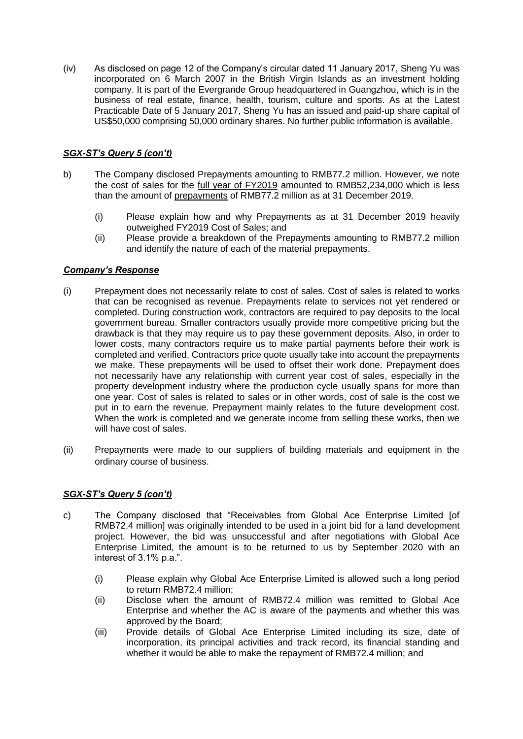(iv) As disclosed on page 12 of the Company's circular dated 11 January 2017, Sheng Yu was incorporated on 6 March 2007 in the British Virgin Islands as an investment holding company. It is part of the Evergrande Group headquartered in Guangzhou, which is in the business of real estate, finance, health, tourism, culture and sports. As at the Latest Practicable Date of 5 January 2017, Sheng Yu has an issued and paid-up share capital of US\$50,000 comprising 50,000 ordinary shares. No further public information is available.

# *SGX-ST's Query 5 (con't)*

- b) The Company disclosed Prepayments amounting to RMB77.2 million. However, we note the cost of sales for the full year of FY2019 amounted to RMB52,234,000 which is less than the amount of prepayments of RMB77.2 million as at 31 December 2019.
	- (i) Please explain how and why Prepayments as at 31 December 2019 heavily outweighed FY2019 Cost of Sales; and
	- (ii) Please provide a breakdown of the Prepayments amounting to RMB77.2 million and identify the nature of each of the material prepayments.

# *Company's Response*

- (i) Prepayment does not necessarily relate to cost of sales. Cost of sales is related to works that can be recognised as revenue. Prepayments relate to services not yet rendered or completed. During construction work, contractors are required to pay deposits to the local government bureau. Smaller contractors usually provide more competitive pricing but the drawback is that they may require us to pay these government deposits. Also, in order to lower costs, many contractors require us to make partial payments before their work is completed and verified. Contractors price quote usually take into account the prepayments we make. These prepayments will be used to offset their work done. Prepayment does not necessarily have any relationship with current year cost of sales, especially in the property development industry where the production cycle usually spans for more than one year. Cost of sales is related to sales or in other words, cost of sale is the cost we put in to earn the revenue. Prepayment mainly relates to the future development cost. When the work is completed and we generate income from selling these works, then we will have cost of sales.
- (ii) Prepayments were made to our suppliers of building materials and equipment in the ordinary course of business.

# *SGX-ST's Query 5 (con't)*

- c) The Company disclosed that "Receivables from Global Ace Enterprise Limited [of RMB72.4 million] was originally intended to be used in a joint bid for a land development project. However, the bid was unsuccessful and after negotiations with Global Ace Enterprise Limited, the amount is to be returned to us by September 2020 with an interest of 3.1% p.a.".
	- (i) Please explain why Global Ace Enterprise Limited is allowed such a long period to return RMB72.4 million;
	- (ii) Disclose when the amount of RMB72.4 million was remitted to Global Ace Enterprise and whether the AC is aware of the payments and whether this was approved by the Board;
	- (iii) Provide details of Global Ace Enterprise Limited including its size, date of incorporation, its principal activities and track record, its financial standing and whether it would be able to make the repayment of RMB72.4 million; and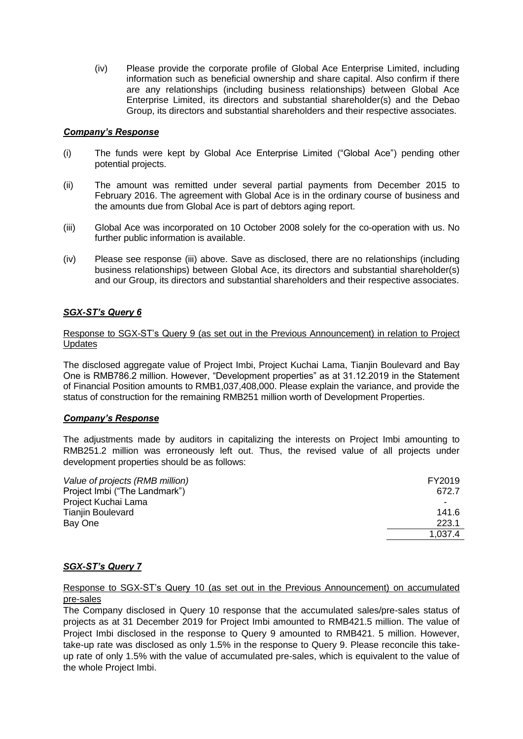(iv) Please provide the corporate profile of Global Ace Enterprise Limited, including information such as beneficial ownership and share capital. Also confirm if there are any relationships (including business relationships) between Global Ace Enterprise Limited, its directors and substantial shareholder(s) and the Debao Group, its directors and substantial shareholders and their respective associates.

#### *Company's Response*

- (i) The funds were kept by Global Ace Enterprise Limited ("Global Ace") pending other potential projects.
- (ii) The amount was remitted under several partial payments from December 2015 to February 2016. The agreement with Global Ace is in the ordinary course of business and the amounts due from Global Ace is part of debtors aging report.
- (iii) Global Ace was incorporated on 10 October 2008 solely for the co-operation with us. No further public information is available.
- (iv) Please see response (iii) above. Save as disclosed, there are no relationships (including business relationships) between Global Ace, its directors and substantial shareholder(s) and our Group, its directors and substantial shareholders and their respective associates.

# *SGX-ST's Query 6*

Response to SGX-ST's Query 9 (as set out in the Previous Announcement) in relation to Project **Updates** 

The disclosed aggregate value of Project Imbi, Project Kuchai Lama, Tianjin Boulevard and Bay One is RMB786.2 million. However, "Development properties" as at 31.12.2019 in the Statement of Financial Position amounts to RMB1,037,408,000. Please explain the variance, and provide the status of construction for the remaining RMB251 million worth of Development Properties.

# *Company's Response*

The adjustments made by auditors in capitalizing the interests on Project Imbi amounting to RMB251.2 million was erroneously left out. Thus, the revised value of all projects under development properties should be as follows:

| Value of projects (RMB million) | FY2019  |
|---------------------------------|---------|
| Project Imbi ("The Landmark")   | 672.7   |
| Project Kuchai Lama             |         |
| Tianjin Boulevard               | 141.6   |
| Bay One                         | 223.1   |
|                                 | 1,037.4 |
|                                 |         |

#### *SGX-ST's Query 7*

Response to SGX-ST's Query 10 (as set out in the Previous Announcement) on accumulated pre-sales

The Company disclosed in Query 10 response that the accumulated sales/pre-sales status of projects as at 31 December 2019 for Project Imbi amounted to RMB421.5 million. The value of Project Imbi disclosed in the response to Query 9 amounted to RMB421. 5 million. However, take-up rate was disclosed as only 1.5% in the response to Query 9. Please reconcile this takeup rate of only 1.5% with the value of accumulated pre-sales, which is equivalent to the value of the whole Project Imbi.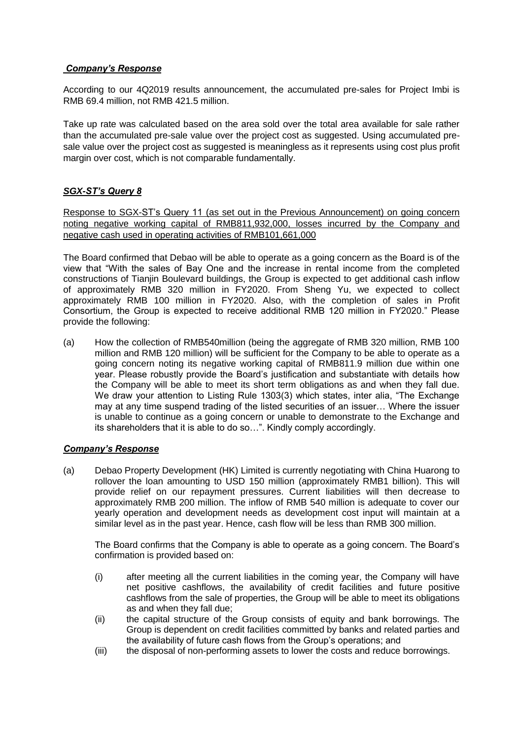#### *Company's Response*

According to our 4Q2019 results announcement, the accumulated pre-sales for Project Imbi is RMB 69.4 million, not RMB 421.5 million.

Take up rate was calculated based on the area sold over the total area available for sale rather than the accumulated pre-sale value over the project cost as suggested. Using accumulated presale value over the project cost as suggested is meaningless as it represents using cost plus profit margin over cost, which is not comparable fundamentally.

# *SGX-ST's Query 8*

Response to SGX-ST's Query 11 (as set out in the Previous Announcement) on going concern noting negative working capital of RMB811,932,000, losses incurred by the Company and negative cash used in operating activities of RMB101,661,000

The Board confirmed that Debao will be able to operate as a going concern as the Board is of the view that "With the sales of Bay One and the increase in rental income from the completed constructions of Tianjin Boulevard buildings, the Group is expected to get additional cash inflow of approximately RMB 320 million in FY2020. From Sheng Yu, we expected to collect approximately RMB 100 million in FY2020. Also, with the completion of sales in Profit Consortium, the Group is expected to receive additional RMB 120 million in FY2020." Please provide the following:

(a) How the collection of RMB540million (being the aggregate of RMB 320 million, RMB 100 million and RMB 120 million) will be sufficient for the Company to be able to operate as a going concern noting its negative working capital of RMB811.9 million due within one year. Please robustly provide the Board's justification and substantiate with details how the Company will be able to meet its short term obligations as and when they fall due. We draw your attention to Listing Rule 1303(3) which states, inter alia, "The Exchange may at any time suspend trading of the listed securities of an issuer… Where the issuer is unable to continue as a going concern or unable to demonstrate to the Exchange and its shareholders that it is able to do so…". Kindly comply accordingly.

# *Company's Response*

(a) Debao Property Development (HK) Limited is currently negotiating with China Huarong to rollover the loan amounting to USD 150 million (approximately RMB1 billion). This will provide relief on our repayment pressures. Current liabilities will then decrease to approximately RMB 200 million. The inflow of RMB 540 million is adequate to cover our yearly operation and development needs as development cost input will maintain at a similar level as in the past year. Hence, cash flow will be less than RMB 300 million.

The Board confirms that the Company is able to operate as a going concern. The Board's confirmation is provided based on:

- (i) after meeting all the current liabilities in the coming year, the Company will have net positive cashflows, the availability of credit facilities and future positive cashflows from the sale of properties, the Group will be able to meet its obligations as and when they fall due;
- (ii) the capital structure of the Group consists of equity and bank borrowings. The Group is dependent on credit facilities committed by banks and related parties and the availability of future cash flows from the Group's operations; and
- (iii) the disposal of non-performing assets to lower the costs and reduce borrowings.